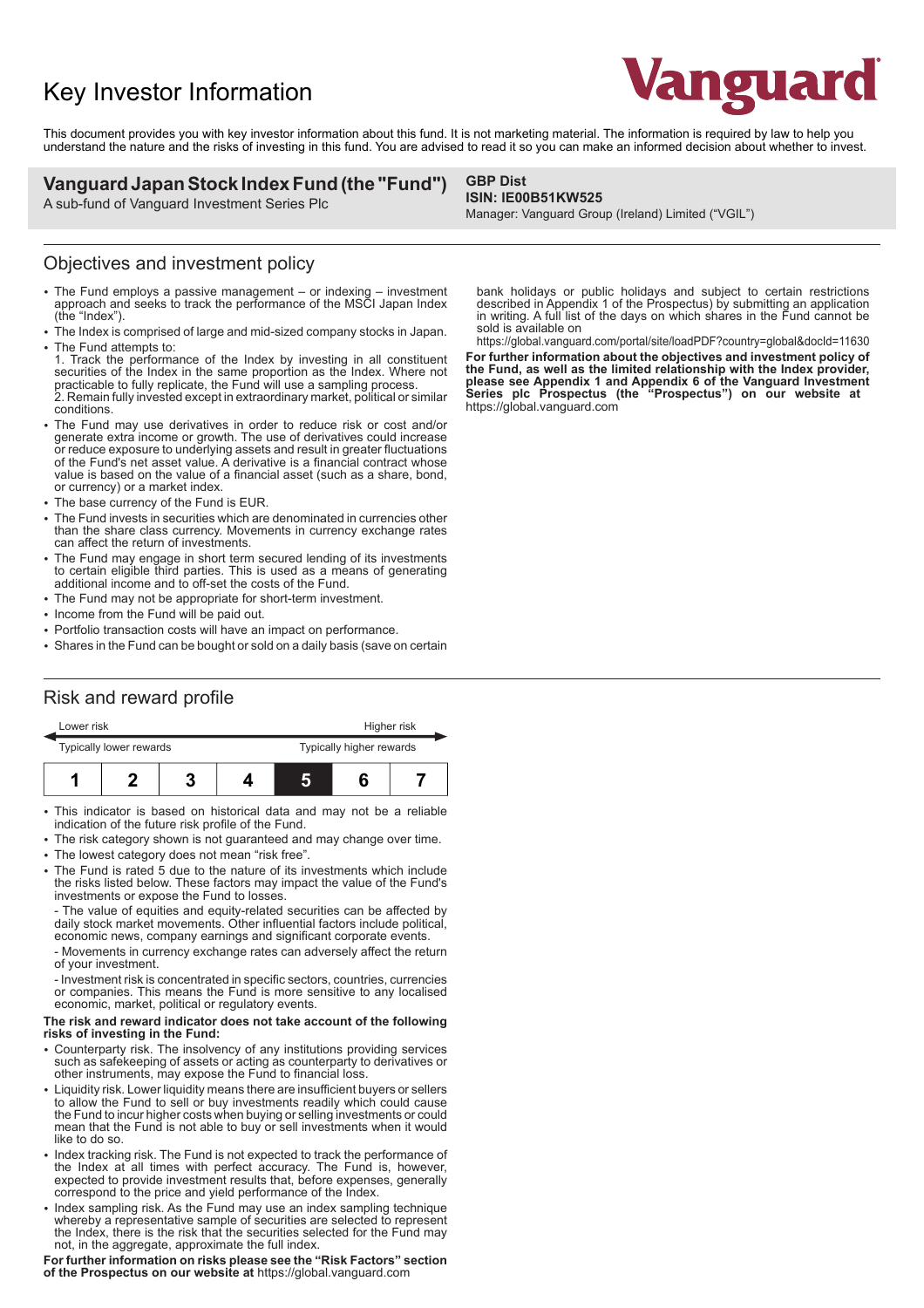# Key Investor Information



This document provides you with key investor information about this fund. It is not marketing material. The information is required by law to help you understand the nature and the risks of investing in this fund. You are advised to read it so you can make an informed decision about whether to invest.

### **Vanguard Japan Stock Index Fund (the "Fund")**

A sub-fund of Vanguard Investment Series Plc

#### **GBP Dist ISIN: IE00B51KW525**

Manager: Vanguard Group (Ireland) Limited ("VGIL")

### Objectives and investment policy

- The Fund employs a passive management or indexing investment approach and seeks to track the performance of the MSCI Japan Index (the "Index").
- 2 The Index is comprised of large and mid-sized company stocks in Japan. • The Fund attempts to:
- 1. Track the performance of the Index by investing in all constituent securities of the Index in the same proportion as the Index. Where not practicable to fully replicate, the Fund will use a sampling process. 2. Remain fully invested except in extraordinary market, political or similar conditions.
- The Fund may use derivatives in order to reduce risk or cost and/or generate extra income or growth. The use of derivatives could increase or reduce exposure to underlying assets and result in greater fluctuations of the Fund's net asset value. A derivative is a financial contract whose value is based on the value of a financial asset (such as a share, bond, or currency) or a market index.
- The base currency of the Fund is FUR.
- The Fund invests in securities which are denominated in currencies other than the share class currency. Movements in currency exchange rates can affect the return of investments.
- 2 The Fund may engage in short term secured lending of its investments to certain eligible third parties. This is used as a means of generating additional income and to off-set the costs of the Fund.
- The Fund may not be appropriate for short-term investment.
- Income from the Fund will be paid out.
- Portfolio transaction costs will have an impact on performance.
- Shares in the Fund can be bought or sold on a daily basis (save on certain

#### bank holidays or public holidays and subject to certain restrictions described in Appendix 1 of the Prospectus) by submitting an application in writing. A full list of the days on which shares in the Fund cannot be sold is available on

https://global.vanguard.com/portal/site/loadPDF?country=global&docId=11630 **For further information about the objectives and investment policy of the Fund, as well as the limited relationship with the Index provider, please see Appendix 1 and Appendix 6 of the Vanguard Investment Series plc Prospectus (the "Prospectus") on our website at**  https://global.vanguard.com

## Risk and reward profile

| Lower risk              |  |  |  | Higher risk              |  |  |
|-------------------------|--|--|--|--------------------------|--|--|
| Typically lower rewards |  |  |  | Typically higher rewards |  |  |
|                         |  |  |  | L,                       |  |  |

• This indicator is based on historical data and may not be a reliable indication of the future risk profile of the Fund.

- The risk category shown is not guaranteed and may change over time.
- The lowest category does not mean "risk free".
- 2 The Fund is rated 5 due to the nature of its investments which include the risks listed below. These factors may impact the value of the Fund's investments or expose the Fund to losses.

- The value of equities and equity-related securities can be affected by daily stock market movements. Other influential factors include political, economic news, company earnings and significant corporate events.

- Movements in currency exchange rates can adversely affect the return of your investment.

- Investment risk is concentrated in specific sectors, countries, currencies or companies. This means the Fund is more sensitive to any localised economic, market, political or regulatory events.

#### **The risk and reward indicator does not take account of the following risks of investing in the Fund:**

- 2 Counterparty risk. The insolvency of any institutions providing services such as safekeeping of assets or acting as counterparty to derivatives or other instruments, may expose the Fund to financial loss.
- Liquidity risk. Lower liquidity means there are insufficient buyers or sellers to allow the Fund to sell or buy investments readily which could cause the Fund to incur higher costs when buying or selling investments or could mean that the Fund is not able to buy or sell investments when it would like to do so.
- Index tracking risk. The Fund is not expected to track the performance of the Index at all times with perfect accuracy. The Fund is, however, expected to provide investment results that, before expenses, generally correspond to the price and yield performance of the Index.
- Index sampling risk. As the Fund may use an index sampling technique whereby a representative sample of securities are selected to represent the Index, there is the risk that the securities selected for the Fund may not, in the aggregate, approximate the full index.

**For further information on risks please see the "Risk Factors" section of the Prospectus on our website at** https://global.vanguard.com